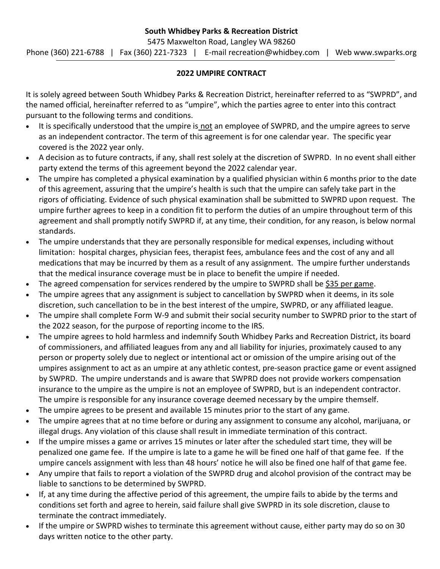## **2022 UMPIRE CONTRACT**

It is solely agreed between South Whidbey Parks & Recreation District, hereinafter referred to as "SWPRD", and the named official, hereinafter referred to as "umpire", which the parties agree to enter into this contract pursuant to the following terms and conditions.

- It is specifically understood that the umpire is not an employee of SWPRD, and the umpire agrees to serve as an independent contractor. The term of this agreement is for one calendar year. The specific year covered is the 2022 year only.
- A decision as to future contracts, if any, shall rest solely at the discretion of SWPRD. In no event shall either party extend the terms of this agreement beyond the 2022 calendar year.
- The umpire has completed a physical examination by a qualified physician within 6 months prior to the date of this agreement, assuring that the umpire's health is such that the umpire can safely take part in the rigors of officiating. Evidence of such physical examination shall be submitted to SWPRD upon request. The umpire further agrees to keep in a condition fit to perform the duties of an umpire throughout term of this agreement and shall promptly notify SWPRD if, at any time, their condition, for any reason, is below normal standards.
- The umpire understands that they are personally responsible for medical expenses, including without limitation: hospital charges, physician fees, therapist fees, ambulance fees and the cost of any and all medications that may be incurred by them as a result of any assignment. The umpire further understands that the medical insurance coverage must be in place to benefit the umpire if needed.
- The agreed compensation for services rendered by the umpire to SWPRD shall be \$35 per game.
- The umpire agrees that any assignment is subject to cancellation by SWPRD when it deems, in its sole discretion, such cancellation to be in the best interest of the umpire, SWPRD, or any affiliated league.
- The umpire shall complete Form W-9 and submit their social security number to SWPRD prior to the start of the 2022 season, for the purpose of reporting income to the IRS.
- The umpire agrees to hold harmless and indemnify South Whidbey Parks and Recreation District, its board of commissioners, and affiliated leagues from any and all liability for injuries, proximately caused to any person or property solely due to neglect or intentional act or omission of the umpire arising out of the umpires assignment to act as an umpire at any athletic contest, pre-season practice game or event assigned by SWPRD. The umpire understands and is aware that SWPRD does not provide workers compensation insurance to the umpire as the umpire is not an employee of SWPRD, but is an independent contractor. The umpire is responsible for any insurance coverage deemed necessary by the umpire themself.
- The umpire agrees to be present and available 15 minutes prior to the start of any game.
- The umpire agrees that at no time before or during any assignment to consume any alcohol, marijuana, or illegal drugs. Any violation of this clause shall result in immediate termination of this contract.
- If the umpire misses a game or arrives 15 minutes or later after the scheduled start time, they will be penalized one game fee. If the umpire is late to a game he will be fined one half of that game fee. If the umpire cancels assignment with less than 48 hours' notice he will also be fined one half of that game fee.
- Any umpire that fails to report a violation of the SWPRD drug and alcohol provision of the contract may be liable to sanctions to be determined by SWPRD.
- If, at any time during the affective period of this agreement, the umpire fails to abide by the terms and conditions set forth and agree to herein, said failure shall give SWPRD in its sole discretion, clause to terminate the contract immediately.
- If the umpire or SWPRD wishes to terminate this agreement without cause, either party may do so on 30 days written notice to the other party.